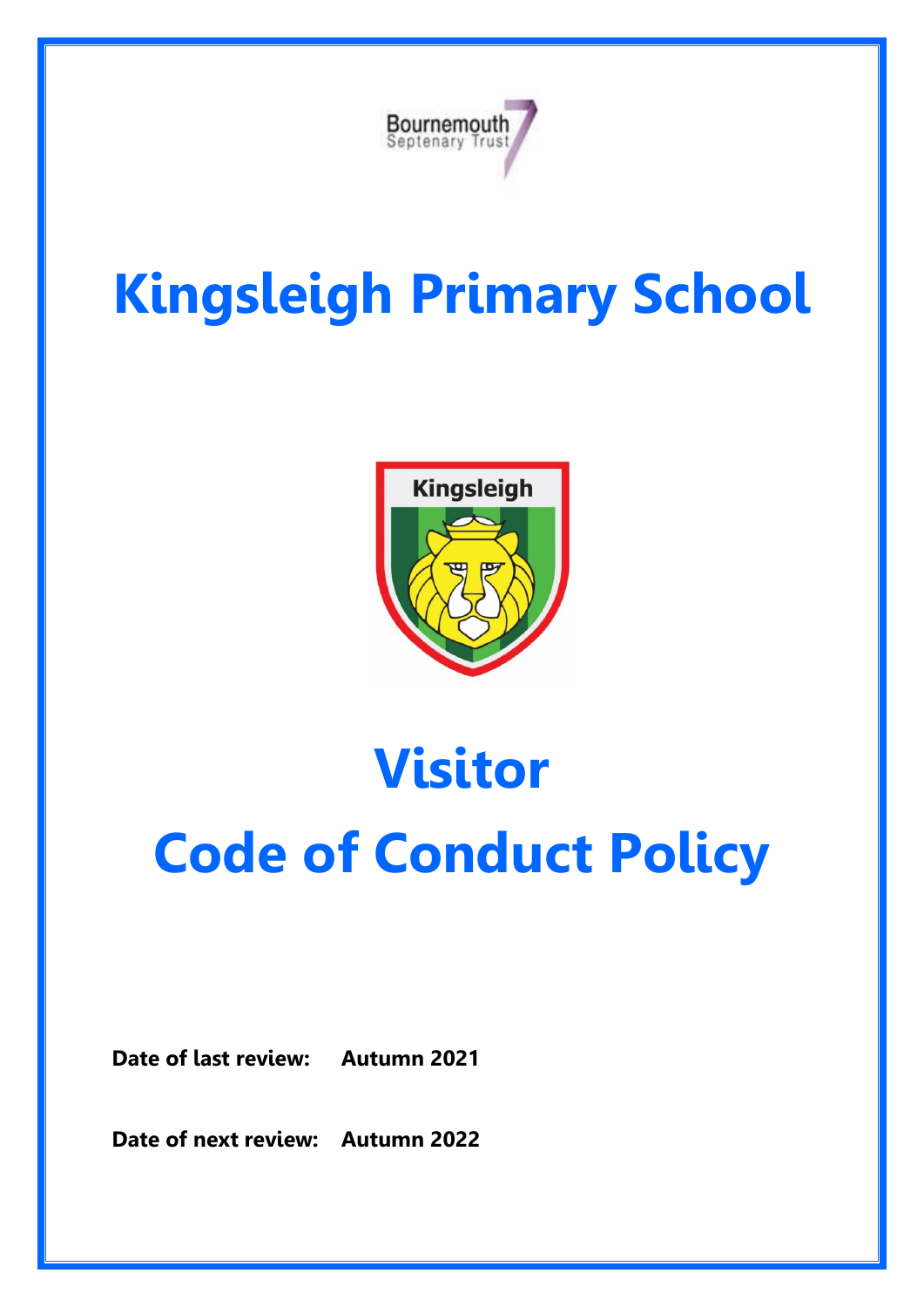

## **Kingsleigh Primary School**



# **Visitor Code of Conduct Policy**

**Date of last review: Autumn 2021**

**Date of next review: Autumn 2022**